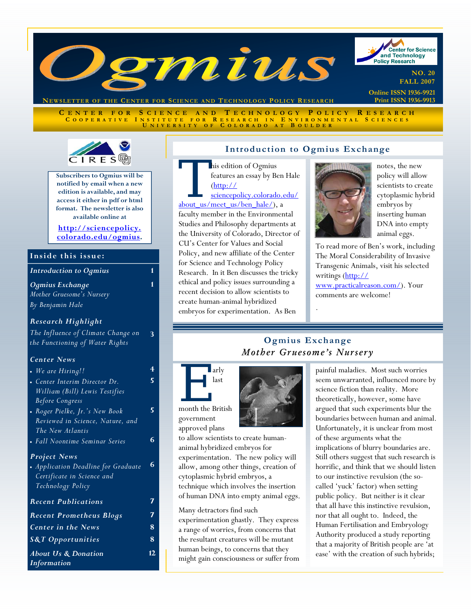

**NEWSLETTER OF THE CENTER FOR SCIENCE AND T ECHNOLOGY POLICY R ESEARCH**

**C ENTER FOR S CIENCE AND T ECHNOLOGY P OLICY R ESEARCH C OOPERATIVE I NSTITUTE FOR R ESEARCH I N E NVIRONMENTAL S CIENCES U NIVERSITY O F C OLORADO A T B OULDER**



**Subscribers to Ogmius will be notified by email when a new edition is available, and may access it either in pdf or html format. The newsletter is also available online at** 

**http://sciencepolicy. [colorado.edu/ogmius.](http://sciencepolicy.colorado.edu/ogmius)** 

**1** 

**3** 

**4 5** 

#### **Inside this issue:**

*Introduction to Ogmius* **1** 

#### *Ogmius Exchange*

*Mother Gruesome's Nursery By Benjamin Hale*

#### *Research Highlight*

*The Influence of Climate Change on the Functioning of Water Rights* 

#### *Center News*

| • We are Hiring!!                   | 4  |
|-------------------------------------|----|
| • Center Interim Director Dr.       |    |
| William (Bill) Lewis Testifies      |    |
| <b>Before Congress</b>              |    |
| • Roger Pielke, Jr.'s New Book      | 5  |
| Reviewed in Science, Nature, and    |    |
| The New Atlantis                    |    |
| • Fall Noontime Seminar Series      | 6  |
| <b>Project News</b>                 |    |
| • Application Deadline for Graduate | 6  |
| Certificate in Science and          |    |
| Technology Policy                   |    |
| <b>Recent Publications</b>          |    |
| <b>Recent Prometheus Blogs</b>      |    |
| <b>Center in the News</b>           | 8  |
| <b>S&amp;T Opportunities</b>        | 8  |
| <b>About Us &amp; Donation</b>      | 12 |
| Information                         |    |

#### **Introduction to Ogmius Exchange**

his edition of Ogmius<br>
features an essay by Ben<br>
(http://<br>
<u>sciencepolicy.colorado.e</u><br>
about us/meet\_us/ben\_hale/), a features an essay by Ben Hale (http:// sciencepolicy.colorado.edu/

faculty member in the Environmental Studies and Philosophy departments at the University of Colorado, Director of CU's Center for Values and Social Policy, and new affiliate of the Center for Science and Technology Policy Research. In it Ben discusses the tricky ethical and policy issues surrounding a recent decision to allow scientists to create human-animal hybridized embryos for experimentation. As Ben



notes, the new policy will allow scientists to create cytoplasmic hybrid embryos by inserting human DNA into empty animal eggs.

To read more of Ben's work, including The Moral Considerability of Invasive Transgenic Animals, visit his selected writings (http:// www.practicalreason.com/). Your comments are welcome!

# **Ogmius Exchange**  *Mother Gruesome's Nursery*

.



approved plans to allow scientists to create humananimal hybridized embryos for experimentation. The new policy will allow, among other things, creation of cytoplasmic hybrid embryos, a technique which involves the insertion of human DNA into empty animal eggs.

Many detractors find such experimentation ghastly. They express a range of worries, from concerns that the resultant creatures will be mutant human beings, to concerns that they might gain consciousness or suffer from painful maladies. Most such worries seem unwarranted, influenced more by science fiction than reality. More theoretically, however, some have argued that such experiments blur the boundaries between human and animal. Unfortunately, it is unclear from most of these arguments what the implications of blurry boundaries are. Still others suggest that such research is horrific, and think that we should listen to our instinctive revulsion (the socalled 'yuck' factor) when setting public policy. But neither is it clear that all have this instinctive revulsion, nor that all ought to. Indeed, the Human Fertilisation and Embryology Authority produced a study reporting that a majority of British people are 'at ease' with the creation of such hybrids;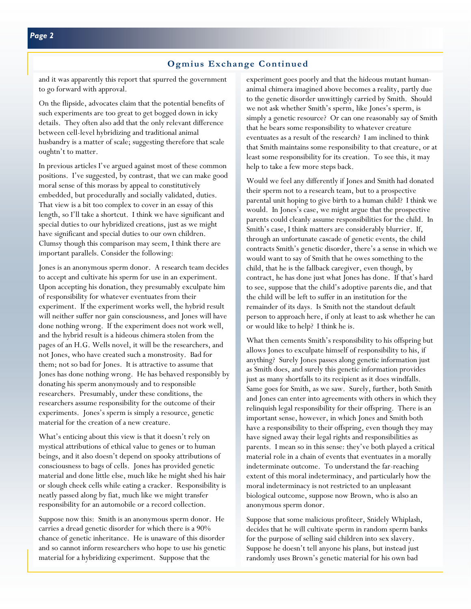#### **Ogmius Exchange Continued**

and it was apparently this report that spurred the government to go forward with approval.

On the flipside, advocates claim that the potential benefits of such experiments are too great to get bogged down in icky details. They often also add that the only relevant difference between cell-level hybridizing and traditional animal husbandry is a matter of scale; suggesting therefore that scale oughtn't to matter.

In previous articles I've argued against most of these common positions. I've suggested, by contrast, that we can make good moral sense of this morass by appeal to constitutively embedded, but procedurally and socially validated, duties. That view is a bit too complex to cover in an essay of this length, so I'll take a shortcut. I think we have significant and special duties to our hybridized creations, just as we might have significant and special duties to our own children. Clumsy though this comparison may seem, I think there are important parallels. Consider the following:

Jones is an anonymous sperm donor. A research team decides to accept and cultivate his sperm for use in an experiment. Upon accepting his donation, they presumably exculpate him of responsibility for whatever eventuates from their experiment. If the experiment works well, the hybrid result will neither suffer nor gain consciousness, and Jones will have done nothing wrong. If the experiment does not work well, and the hybrid result is a hideous chimera stolen from the pages of an H.G. Wells novel, it will be the researchers, and not Jones, who have created such a monstrosity. Bad for them; not so bad for Jones. It is attractive to assume that Jones has done nothing wrong. He has behaved responsibly by donating his sperm anonymously and to responsible researchers. Presumably, under these conditions, the researchers assume responsibility for the outcome of their experiments. Jones's sperm is simply a resource, genetic material for the creation of a new creature.

What's enticing about this view is that it doesn't rely on mystical attributions of ethical value to genes or to human beings, and it also doesn't depend on spooky attributions of consciousness to bags of cells. Jones has provided genetic material and done little else, much like he might shed his hair or slough cheek cells while eating a cracker. Responsibility is neatly passed along by fiat, much like we might transfer responsibility for an automobile or a record collection.

Suppose now this: Smith is an anonymous sperm donor. He carries a dread genetic disorder for which there is a 90% chance of genetic inheritance. He is unaware of this disorder and so cannot inform researchers who hope to use his genetic material for a hybridizing experiment. Suppose that the

experiment goes poorly and that the hideous mutant humananimal chimera imagined above becomes a reality, partly due to the genetic disorder unwittingly carried by Smith. Should we not ask whether Smith's sperm, like Jones's sperm, is simply a genetic resource? Or can one reasonably say of Smith that he bears some responsibility to whatever creature eventuates as a result of the research? I am inclined to think that Smith maintains some responsibility to that creature, or at least some responsibility for its creation. To see this, it may help to take a few more steps back.

Would we feel any differently if Jones and Smith had donated their sperm not to a research team, but to a prospective parental unit hoping to give birth to a human child? I think we would. In Jones's case, we might argue that the prospective parents could cleanly assume responsibilities for the child. In Smith's case, I think matters are considerably blurrier. If, through an unfortunate cascade of genetic events, the child contracts Smith's genetic disorder, there's a sense in which we would want to say of Smith that he owes something to the child, that he is the fallback caregiver, even though, by contract, he has done just what Jones has done. If that's hard to see, suppose that the child's adoptive parents die, and that the child will be left to suffer in an institution for the remainder of its days. Is Smith not the standout default person to approach here, if only at least to ask whether he can or would like to help? I think he is.

What then cements Smith's responsibility to his offspring but allows Jones to exculpate himself of responsibility to his, if anything? Surely Jones passes along genetic information just as Smith does, and surely this genetic information provides just as many shortfalls to its recipient as it does windfalls. Same goes for Smith, as we saw. Surely, further, both Smith and Jones can enter into agreements with others in which they relinquish legal responsibility for their offspring. There is an important sense, however, in which Jones and Smith both have a responsibility to their offspring, even though they may have signed away their legal rights and responsibilities as parents. I mean so in this sense: they've both played a critical material role in a chain of events that eventuates in a morally indeterminate outcome. To understand the far-reaching extent of this moral indeterminacy, and particularly how the moral indeterminacy is not restricted to an unpleasant biological outcome, suppose now Brown, who is also an anonymous sperm donor.

Suppose that some malicious profiteer, Snidely Whiplash, decides that he will cultivate sperm in random sperm banks for the purpose of selling said children into sex slavery. Suppose he doesn't tell anyone his plans, but instead just randomly uses Brown's genetic material for his own bad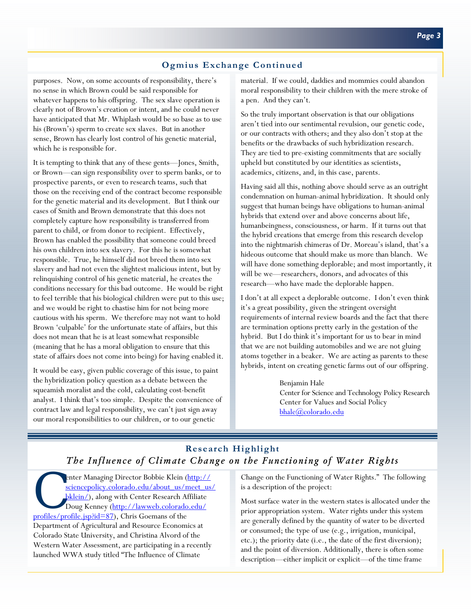# **Ogmius Exchange Continued**

purposes. Now, on some accounts of responsibility, there's no sense in which Brown could be said responsible for whatever happens to his offspring. The sex slave operation is clearly not of Brown's creation or intent, and he could never have anticipated that Mr. Whiplash would be so base as to use his (Brown's) sperm to create sex slaves. But in another sense, Brown has clearly lost control of his genetic material, which he is responsible for.

It is tempting to think that any of these gents—Jones, Smith, or Brown—can sign responsibility over to sperm banks, or to prospective parents, or even to research teams, such that those on the receiving end of the contract become responsible for the genetic material and its development. But I think our cases of Smith and Brown demonstrate that this does not completely capture how responsibility is transferred from parent to child, or from donor to recipient. Effectively, Brown has enabled the possibility that someone could breed his own children into sex slavery. For this he is somewhat responsible. True, he himself did not breed them into sex slavery and had not even the slightest malicious intent, but by relinquishing control of his genetic material, he creates the conditions necessary for this bad outcome. He would be right to feel terrible that his biological children were put to this use; and we would be right to chastise him for not being more cautious with his sperm. We therefore may not want to hold Brown 'culpable' for the unfortunate state of affairs, but this does not mean that he is at least somewhat responsible (meaning that he has a moral obligation to ensure that this state of affairs does not come into being) for having enabled it.

It would be easy, given public coverage of this issue, to paint the hybridization policy question as a debate between the squeamish moralist and the cold, calculating cost-benefit analyst. I think that's too simple. Despite the convenience of contract law and legal responsibility, we can't just sign away our moral responsibilities to our children, or to our genetic

material. If we could, daddies and mommies could abandon moral responsibility to their children with the mere stroke of a pen. And they can't.

So the truly important observation is that our obligations aren't tied into our sentimental revulsion, our genetic code, or our contracts with others; and they also don't stop at the benefits or the drawbacks of such hybridization research. They are tied to pre-existing commitments that are socially upheld but constituted by our identities as scientists, academics, citizens, and, in this case, parents.

Having said all this, nothing above should serve as an outright condemnation on human-animal hybridization. It should only suggest that human beings have obligations to human-animal hybrids that extend over and above concerns about life, humanbeingness, consciousness, or harm. If it turns out that the hybrid creations that emerge from this research develop into the nightmarish chimeras of Dr. Moreau's island, that's a hideous outcome that should make us more than blanch. We will have done something deplorable; and most importantly, it will be we—researchers, donors, and advocates of this research—who have made the deplorable happen.

I don't at all expect a deplorable outcome. I don't even think it's a great possibility, given the stringent oversight requirements of internal review boards and the fact that there are termination options pretty early in the gestation of the hybrid. But I do think it's important for us to bear in mind that we are not building automobiles and we are not gluing atoms together in a beaker. We are acting as parents to these hybrids, intent on creating genetic farms out of our offspring.

#### Benjamin Hale

Center for Science and Technology Policy Research Center for Values and Social Policy bhale@colorado.edu

# **Research Highlight**  *The Influence of Climate Change on the Functioning of Water Rights*

enter Managing Director Bobbie Klein (http:// sciencepolicy.colorado.edu/about\_us/meet\_us/ bklein/), along with Center Research Affiliate Doug Kenney (http://lawweb.colorado.edu/ profiles/profile.jsp?id=87), Chris Goemans of the Department of Agricultural and Resource Economics at Colorado State University, and Christina Alvord of the Western Water Assessment, are participating in a recently launched WWA study titled "The Influence of Climate

Change on the Functioning of Water Rights." The following is a description of the project:

Most surface water in the western states is allocated under the prior appropriation system. Water rights under this system are generally defined by the quantity of water to be diverted or consumed; the type of use (e.g., irrigation, municipal, etc.); the priority date (i.e., the date of the first diversion); and the point of diversion. Additionally, there is often some description—either implicit or explicit—of the time frame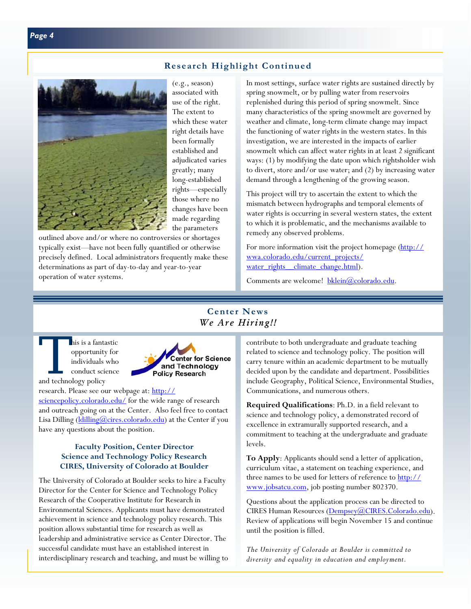## **Research Highlight Continued**



(e.g., season) associated with use of the right. The extent to which these water right details have been formally established and adjudicated varies greatly; many long-established rights—especially those where no changes have been made regarding the parameters

outlined above and/or where no controversies or shortages typically exist—have not been fully quantified or otherwise precisely defined. Local administrators frequently make these determinations as part of day-to-day and year-to-year operation of water systems.

In most settings, surface water rights are sustained directly by spring snowmelt, or by pulling water from reservoirs replenished during this period of spring snowmelt. Since many characteristics of the spring snowmelt are governed by weather and climate, long-term climate change may impact the functioning of water rights in the western states. In this investigation, we are interested in the impacts of earlier snowmelt which can affect water rights in at least 2 significant ways: (1) by modifying the date upon which rightsholder wish to divert, store and/or use water; and (2) by increasing water demand through a lengthening of the growing season.

This project will try to ascertain the extent to which the mismatch between hydrographs and temporal elements of water rights is occurring in several western states, the extent to which it is problematic, and the mechanisms available to remedy any observed problems.

For more information visit the project homepage (http:// wwa.colorado.edu/current\_projects/ water\_rights\_climate\_change.html).

Comments are welcome! bklein@colorado.edu.

## **Center News**  *We Are Hiring!!*

his is a fantastic<br>opportunity for<br>individuals who<br>conduct science<br>and technology policy opportunity for individuals who conduct science and technology policy



research. Please see our webpage at: http:// sciencepolicy.colorado.edu/ for the wide range of research and outreach going on at the Center. Also feel free to contact Lisa Dilling  $(\underline{\text{ldilling}}(\overline{\text{Qcires}}.\text{colorado.edu})$  at the Center if you have any questions about the position.

#### **Faculty Position, Center Director Science and Technology Policy Research CIRES, University of Colorado at Boulder**

The University of Colorado at Boulder seeks to hire a Faculty Director for the Center for Science and Technology Policy Research of the Cooperative Institute for Research in Environmental Sciences. Applicants must have demonstrated achievement in science and technology policy research. This position allows substantial time for research as well as leadership and administrative service as Center Director. The successful candidate must have an established interest in interdisciplinary research and teaching, and must be willing to contribute to both undergraduate and graduate teaching related to science and technology policy. The position will carry tenure within an academic department to be mutually decided upon by the candidate and department. Possibilities include Geography, Political Science, Environmental Studies, Communications, and numerous others.

**Required Qualifications**: Ph.D. in a field relevant to science and technology policy, a demonstrated record of excellence in extramurally supported research, and a commitment to teaching at the undergraduate and graduate levels.

**To Apply**: Applicants should send a letter of application, curriculum vitae, a statement on teaching experience, and three names to be used for letters of reference to http:// www.jobsatcu.com, job posting number 802370.

Questions about the application process can be directed to CIRES Human Resources (Dempsey@CIRES.Colorado.edu). Review of applications will begin November 15 and continue until the position is filled.

*The University of Colorado at Boulder is committed to diversity and equality in education and employment.*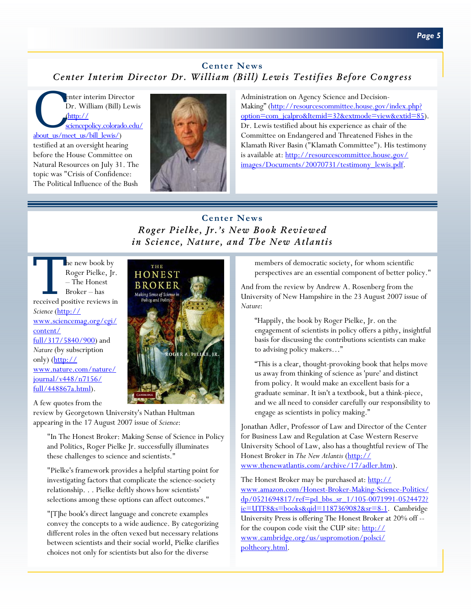# **Center News**  *Center Interim Director Dr. William (Bill) Lewis Testifies Before Congress*

enter interim Director<br>Dr. William (Bill) Lew<br>
<u>(http:// sciencepolicy.colorado.ed</u> Dr. William (Bill) Lewis (http:// sciencepolicy.colorado.edu/ about\_us/meet\_us/bill\_lewis/)

testified at an oversight hearing before the House Committee on Natural Resources on July 31. The topic was "Crisis of Confidence: The Political Influence of the Bush



Administration on Agency Science and Decision-Making" (http://resourcescommittee.house.gov/index.php? option=com\_jcalpro&Itemid=32&extmode=view&extid=85). Dr. Lewis testified about his experience as chair of the Committee on Endangered and Threatened Fishes in the Klamath River Basin ("Klamath Committee"). His testimony is available at: http://resourcescommittee.house.gov/ images/Documents/20070731/testimony\_lewis.pdf.

# **Center News**  *Roger Pielke, Jr.'s New Book Reviewed in Science, Nature, and The New Atlantis*

The new book by<br>
Roger Pielke, Jr.<br>
- The Honest<br>
Broker – has<br>
received positive reviews in Roger Pielke, Jr. – The Honest Broker – has *Science* (http:// www.sciencemag.org/cgi/ content/ full/317/5840/900) and *Nature* (by subscription only) (http:// www.nature.com/nature/ journal/v448/n7156/ full/448867a.html).



A few quotes from the

review by Georgetown University's Nathan Hultman appearing in the 17 August 2007 issue of *Science*:

"In The Honest Broker: Making Sense of Science in Policy and Politics, Roger Pielke Jr. successfully illuminates these challenges to science and scientists."

"Pielke's framework provides a helpful starting point for investigating factors that complicate the science-society relationship. . . Pielke deftly shows how scientists' selections among these options can affect outcomes."

"[T]he book's direct language and concrete examples convey the concepts to a wide audience. By categorizing different roles in the often vexed but necessary relations between scientists and their social world, Pielke clarifies choices not only for scientists but also for the diverse

members of democratic society, for whom scientific perspectives are an essential component of better policy."

And from the review by Andrew A. Rosenberg from the University of New Hampshire in the 23 August 2007 issue of *Nature*:

"Happily, the book by Roger Pielke, Jr. on the engagement of scientists in policy offers a pithy, insightful basis for discussing the contributions scientists can make to advising policy makers…"

"This is a clear, thought-provoking book that helps move us away from thinking of science as 'pure' and distinct from policy. It would make an excellent basis for a graduate seminar. It isn't a textbook, but a think-piece, and we all need to consider carefully our responsibility to engage as scientists in policy making."

Jonathan Adler, Professor of Law and Director of the Center for Business Law and Regulation at Case Western Reserve University School of Law, also has a thoughtful review of The Honest Broker in *The New Atlantis* (http:// www.thenewatlantis.com/archive/17/adler.htm).

The Honest Broker may be purchased at: http:// www.amazon.com/Honest-Broker-Making-Science-Politics/ dp/0521694817/ref=pd\_bbs\_sr\_1/105-0071991-0524472? ie=UTF8&s=books&qid=1187369082&sr=8-1. Cambridge University Press is offering The Honest Broker at 20% off - for the coupon code visit the CUP site: http:// www.cambridge.org/us/uspromotion/polsci/ poltheory.html.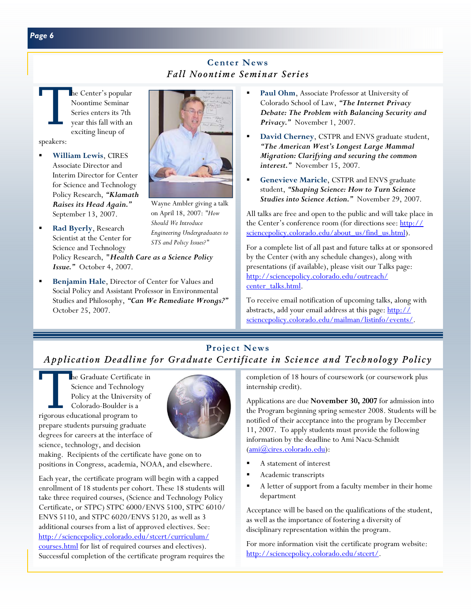# **Center News**  *Fall Noontime Seminar Series*

The Center's popular<br>Noontime Seminar<br>Series enters its 7th<br>year this fall with an<br>exciting lineup of Noontime Seminar Series enters its 7th year this fall with an exciting lineup of speakers:

- **William Lewis**, CIRES Associate Director and Interim Director for Center for Science and Technology Policy Research, *"Klamath Raises its Head Again."*  September 13, 2007.
- **Rad Byerly**, Research Scientist at the Center for Science and Technology Policy Research, *"Health Care as a Science Policy Issue."* October 4, 2007.
- **Benjamin Hale**, Director of Center for Values and Social Policy and Assistant Professor in Environmental Studies and Philosophy, *"Can We Remediate Wrongs?"*  October 25, 2007.



Wayne Ambler giving a talk on April 18, 2007: *"How Should We Introduce Engineering Undergraduates to STS and Policy Issues?"* 

- **Paul Ohm**, Associate Professor at University of Colorado School of Law, *"The Internet Privacy Debate: The Problem with Balancing Security and Privacy."* November 1, 2007.
- **David Cherney**, CSTPR and ENVS graduate student, *"The American West's Longest Large Mammal Migration: Clarifying and securing the common interest."* November 15, 2007.
- **Genevieve Maricle**, CSTPR and ENVS graduate student, *"Shaping Science: How to Turn Science Studies into Science Action."* November 29, 2007.

All talks are free and open to the public and will take place in the Center's conference room (for directions see: http:// sciencepolicy.colorado.edu/about\_us/find\_us.html).

For a complete list of all past and future talks at or sponsored by the Center (with any schedule changes), along with presentations (if available), please visit our Talks page: http://sciencepolicy.colorado.edu/outreach/ center\_talks.html.

To receive email notification of upcoming talks, along with abstracts, add your email address at this page: http:// sciencepolicy.colorado.edu/mailman/listinfo/events/.

# **Project News**  *Application Deadline for Graduate Certificate in Science and Technology Policy*

The Graduate Certificate in<br>Science and Technology<br>Policy at the University of<br>Colorado-Boulder is a<br>rigorous educational program to Science and Technology Policy at the University of Colorado-Boulder is a rigorous educational program to prepare students pursuing graduate degrees for careers at the interface of science, technology, and decision



making. Recipients of the certificate have gone on to positions in Congress, academia, NOAA, and elsewhere.

Each year, the certificate program will begin with a capped enrollment of 18 students per cohort. These 18 students will take three required courses, (Science and Technology Policy Certificate, or STPC) STPC 6000/ENVS 5100, STPC 6010/ ENVS 5110, and STPC 6020/ENVS 5120, as well as 3 additional courses from a list of approved electives. See: http://sciencepolicy.colorado.edu/stcert/curriculum/ courses.html for list of required courses and electives). Successful completion of the certificate program requires the

completion of 18 hours of coursework (or coursework plus internship credit).

Applications are due **November 30, 2007** for admission into the Program beginning spring semester 2008. Students will be notified of their acceptance into the program by December 11, 2007. To apply students must provide the following information by the deadline to Ami Nacu-Schmidt (ami@cires.colorado.edu):

- A statement of interest
- Academic transcripts
- A letter of support from a faculty member in their home department

Acceptance will be based on the qualifications of the student, as well as the importance of fostering a diversity of disciplinary representation within the program.

For more information visit the certificate program website: http://sciencepolicy.colorado.edu/stcert/.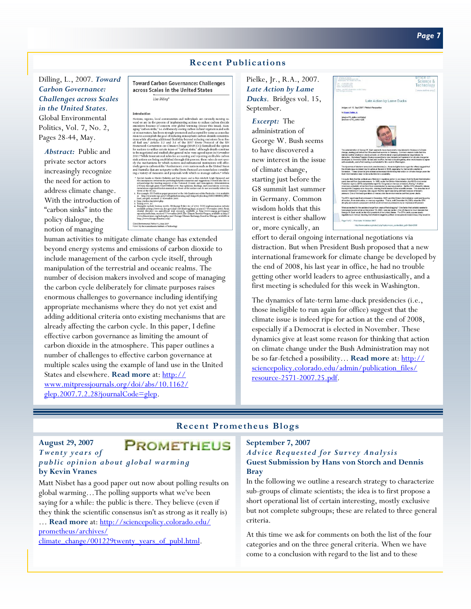#### **Recent Publications**

Dilling, L., 2007. *Toward Carbon Governance: Challenges across Scales in the United States*.

Global Environmental Politics, Vol. 7, No. 2, Pages 28-44, May.

*Abstract:* Public and private sector actors increasingly recognize the need for action to address climate change. With the introduction of "carbon sinks" into the policy dialogue, the notion of managing



**Toward Carbon Governance: Challenges** across Scales in the United States Lisa Dillina\*

Introduction

Clobal Embrowsental Politics 7:2, May 2007<br>\* 2007 by the Massachusetts Institute of Technology

human activities to mitigate climate change has extended beyond energy systems and emissions of carbon dioxide to include management of the carbon cycle itself, through manipulation of the terrestrial and oceanic realms. The number of decision makers involved and scope of managing the carbon cycle deliberately for climate purposes raises enormous challenges to governance including identifying appropriate mechanisms where they do not yet exist and adding additional criteria onto existing mechanisms that are already affecting the carbon cycle. In this paper, I define effective carbon governance as limiting the amount of carbon dioxide in the atmosphere. This paper outlines a number of challenges to effective carbon governance at multiple scales using the example of land use in the United States and elsewhere. **Read more** at: http:// www.mitpressjournals.org/doi/abs/10.1162/ glep.2007.7.2.28?journalCode=glep.

Pielke, Jr., R.A., 2007. *Late Action by Lame Ducks*. Bridges vol. 15, September.

*Excerpt:* The administration of George W. Bush seems to have discovered a new interest in the issue of climate change, starting just before the G8 summit last summer in Germany. Common wisdom holds that this interest is either shallow or, more cynically, an



effort to derail ongoing international negotiations via distraction. But when President Bush proposed that a new international framework for climate change be developed by the end of 2008, his last year in office, he had no trouble getting other world leaders to agree enthusiastically, and a first meeting is scheduled for this week in Washington.

The dynamics of late-term lame-duck presidencies (i.e., those ineligible to run again for office) suggest that the climate issue is indeed ripe for action at the end of 2008, especially if a Democrat is elected in November. These dynamics give at least some reason for thinking that action on climate change under the Bush Administration may not be so far-fetched a possibility… **Read more** at: http:// sciencepolicy.colorado.edu/admin/publication\_files/ resource-2571-2007.25.pdf.

#### **Recent Prometheus Blogs**

#### **August 29, 2007 PROMETHEUS** *Twenty years of public opinion about global warming*  **by Kevin Vranes**

Matt Nisbet has a good paper out now about polling results on global warming…The polling supports what we've been saying for a while: the public is there. They believe (even if they think the scientific consensus isn't as strong as it really is) … **Read more** at: http://sciencepolicy.colorado.edu/ prometheus/archives/

climate\_change/001229twenty\_years\_of\_publ.html.

#### **September 7, 2007**  *Advice Requested for Survey Analysis*  **Guest Submission by Hans von Storch and Dennis Bray**

In the following we outline a research strategy to characterize sub-groups of climate scientists; the idea is to first propose a short operational list of certain interesting, mostly exclusive but not complete subgroups; these are related to three general criteria.

At this time we ask for comments on both the list of the four categories and on the three general criteria. When we have come to a conclusion with regard to the list and to these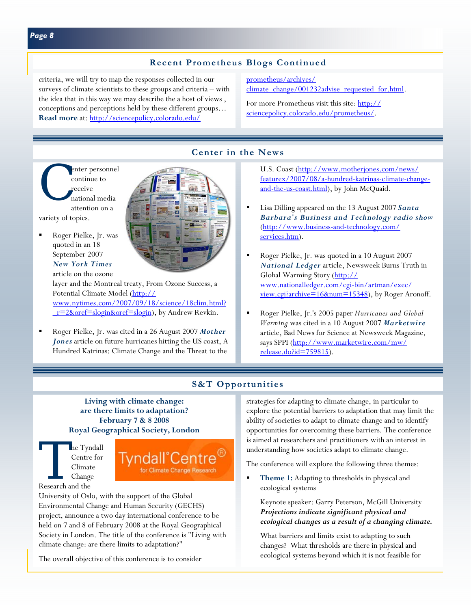# **Recent Prometheus Blogs Continued**

criteria, we will try to map the responses collected in our surveys of climate scientists to these groups and criteria – with the idea that in this way we may describe the a host of views , conceptions and perceptions held by these different groups… **Read more** at: http://sciencepolicy.colorado.edu/

prometheus/archives/ climate\_change/001232advise\_requested\_for.html.

For more Prometheus visit this site: http:// sciencepolicy.colorado.edu/prometheus/.

# **Center in the News**

enter personnel<br>
continue to<br>
receive<br>
national media<br>
attention on a continue to receive national media attention on a

variety of topics.

 Roger Pielke, Jr. was quoted in an 18 September 2007 *New York Times*  article on the ozone

layer and the Montreal treaty, From Ozone Success, a Potential Climate Model (http:// www.nytimes.com/2007/09/18/science/18clim.html? r=2&oref=slogin&oref=slogin), by Andrew Revkin.

 Roger Pielke, Jr. was cited in a 26 August 2007 *Mother Jones* article on future hurricanes hitting the US coast, A Hundred Katrinas: Climate Change and the Threat to the

U.S. Coast (http://www.motherjones.com/news/ featurex/2007/08/a-hundred-katrinas-climate-changeand-the-us-coast.html), by John McQuaid.

- Lisa Dilling appeared on the 13 August 2007 *Santa Barbara's Business and Technology radio show*  (http://www.business-and-technology.com/ services.htm).
- Roger Pielke, Jr. was quoted in a 10 August 2007 *National Ledger* article, Newsweek Burns Truth in Global Warming Story (http:// www.nationalledger.com/cgi-bin/artman/exec/ view.cgi?archive=16&num=15348), by Roger Aronoff.
- Roger Pielke, Jr.'s 2005 paper *Hurricanes and Global Warming* was cited in a 10 August 2007 *Marketwire*  article, Bad News for Science at Newsweek Magazine, says SPPI (http://www.marketwire.com/mw/ release.do?id=759815).

# **S&T Opportunities**

**Living with climate change: are there limits to adaptation? February 7 & 8 2008 Royal Geographical Society, London** 

The Tyndall<br>Centre for<br>Climate<br>Change<br>Research and the Centre for Climate Change Research and the



University of Oslo, with the support of the Global Environmental Change and Human Security (GECHS) project, announce a two day international conference to be held on 7 and 8 of February 2008 at the Royal Geographical Society in London. The title of the conference is "Living with climate change: are there limits to adaptation?"

The overall objective of this conference is to consider

strategies for adapting to climate change, in particular to explore the potential barriers to adaptation that may limit the ability of societies to adapt to climate change and to identify opportunities for overcoming these barriers. The conference is aimed at researchers and practitioners with an interest in understanding how societies adapt to climate change.

The conference will explore the following three themes:

 **Theme 1:** Adapting to thresholds in physical and ecological systems

Keynote speaker: Garry Peterson, McGill University *Projections indicate significant physical and ecological changes as a result of a changing climate.* 

What barriers and limits exist to adapting to such changes? What thresholds are there in physical and ecological systems beyond which it is not feasible for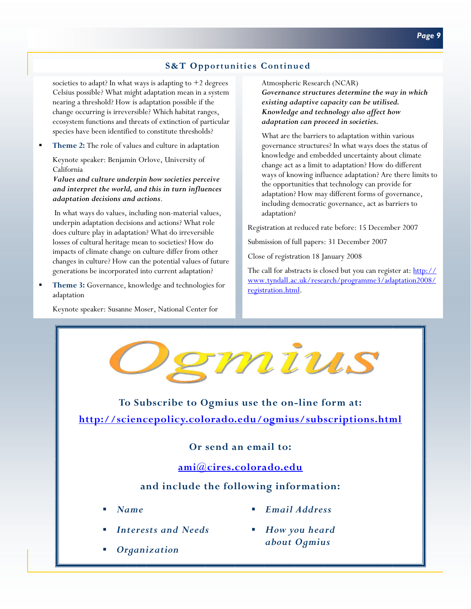# **S&T Opportunities Continued**

societies to adapt? In what ways is adapting to  $+2$  degrees Celsius possible? What might adaptation mean in a system nearing a threshold? How is adaptation possible if the change occurring is irreversible? Which habitat ranges, ecosystem functions and threats of extinction of particular species have been identified to constitute thresholds?

**Theme 2:** The role of values and culture in adaptation

Keynote speaker: Benjamin Orlove, University of California

*Values and culture underpin how societies perceive and interpret the world, and this in turn influences adaptation decisions and actions*.

 In what ways do values, including non-material values, underpin adaptation decisions and actions? What role does culture play in adaptation? What do irreversible losses of cultural heritage mean to societies? How do impacts of climate change on culture differ from other changes in culture? How can the potential values of future generations be incorporated into current adaptation?

 **Theme 3:** Governance, knowledge and technologies for adaptation

Keynote speaker: Susanne Moser, National Center for

Atmospheric Research (NCAR)

*Governance structures determine the way in which existing adaptive capacity can be utilised. Knowledge and technology also affect how adaptation can proceed in societies.* 

What are the barriers to adaptation within various governance structures? In what ways does the status of knowledge and embedded uncertainty about climate change act as a limit to adaptation? How do different ways of knowing influence adaptation? Are there limits to the opportunities that technology can provide for adaptation? How may different forms of governance, including democratic governance, act as barriers to adaptation?

Registration at reduced rate before: 15 December 2007

Submission of full papers: 31 December 2007

Close of registration 18 January 2008

The call for abstracts is closed but you can register at: http:// www.tyndall.ac.uk/research/programme3/adaptation2008/ registration.html.

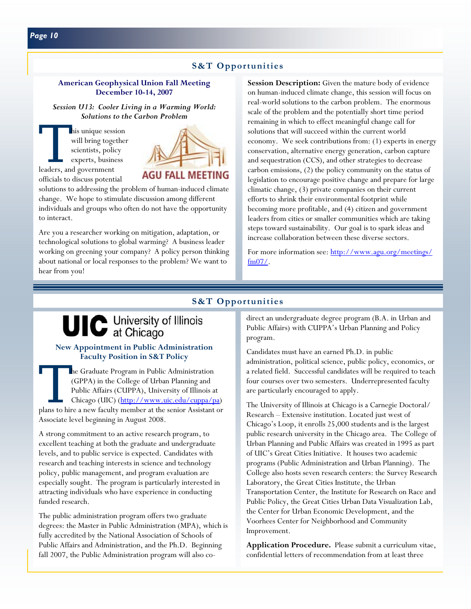#### **S&T Opportunities**

#### **American Geophysical Union Fall Meeting December 10-14, 2007**

*Session U13: Cooler Living in a Warming World: Solutions to the Carbon Problem* 

This unique session<br>
will bring together<br>
scientists, policy<br>
experts, business<br>
leaders, and government will bring together scientists, policy experts, business

officials to discuss potential



solutions to addressing the problem of human-induced climate change. We hope to stimulate discussion among different individuals and groups who often do not have the opportunity to interact.

Are you a researcher working on mitigation, adaptation, or technological solutions to global warming? A business leader working on greening your company? A policy person thinking about national or local responses to the problem? We want to hear from you!

**Session Description:** Given the mature body of evidence on human-induced climate change, this session will focus on real-world solutions to the carbon problem. The enormous scale of the problem and the potentially short time period remaining in which to effect meaningful change call for solutions that will succeed within the current world economy. We seek contributions from: (1) experts in energy conservation, alternative energy generation, carbon capture and sequestration (CCS), and other strategies to decrease carbon emissions, (2) the policy community on the status of legislation to encourage positive change and prepare for large climatic change, (3) private companies on their current efforts to shrink their environmental footprint while becoming more profitable, and (4) citizen and government leaders from cities or smaller communities which are taking steps toward sustainability. Our goal is to spark ideas and increase collaboration between these diverse sectors.

For more information see: http://www.agu.org/meetings/ fm07/.

#### **S&T Opportunities**

# UIC University of Illinois

#### **New Appointment in Public Administration Faculty Position in S&T Policy**

The Graduate Program in Public Administration (GPPA) in the College of Urban Planning and Public Affairs (CUPPA), University of Illinois at Chicago (UIC) (<u>http://www.uic.edu/cuppa/pa</u>) plans to hire a new faculty member a (GPPA) in the College of Urban Planning and Public Affairs (CUPPA), University of Illinois at Chicago (UIC) (http://www.uic.edu/cuppa/pa) Associate level beginning in August 2008.

A strong commitment to an active research program, to excellent teaching at both the graduate and undergraduate levels, and to public service is expected. Candidates with research and teaching interests in science and technology policy, public management, and program evaluation are especially sought. The program is particularly interested in attracting individuals who have experience in conducting funded research.

The public administration program offers two graduate degrees: the Master in Public Administration (MPA), which is fully accredited by the National Association of Schools of Public Affairs and Administration, and the Ph.D. Beginning fall 2007, the Public Administration program will also codirect an undergraduate degree program (B.A. in Urban and Public Affairs) with CUPPA's Urban Planning and Policy program.

Candidates must have an earned Ph.D. in public administration, political science, public policy, economics, or a related field. Successful candidates will be required to teach four courses over two semesters. Underrepresented faculty are particularly encouraged to apply.

The University of Illinois at Chicago is a Carnegie Doctoral/ Research – Extensive institution. Located just west of Chicago's Loop, it enrolls 25,000 students and is the largest public research university in the Chicago area. The College of Urban Planning and Public Affairs was created in 1995 as part of UIC's Great Cities Initiative. It houses two academic programs (Public Administration and Urban Planning). The College also hosts seven research centers: the Survey Research Laboratory, the Great Cities Institute, the Urban Transportation Center, the Institute for Research on Race and Public Policy, the Great Cities Urban Data Visualization Lab, the Center for Urban Economic Development, and the Voorhees Center for Neighborhood and Community Improvement.

**Application Procedure.** Please submit a curriculum vitae, confidential letters of recommendation from at least three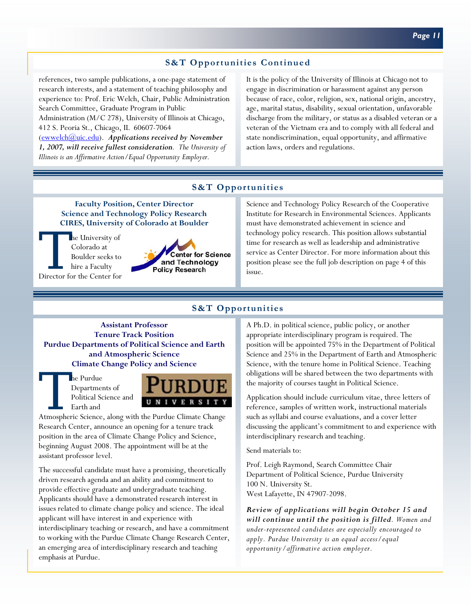# **S&T Opportunities Continued**

references, two sample publications, a one-page statement of research interests, and a statement of teaching philosophy and experience to: Prof. Eric Welch, Chair, Public Administration Search Committee, Graduate Program in Public

Administration (M/C 278), University of Illinois at Chicago, 412 S. Peoria St., Chicago, IL 60607-7064

(ewwelch@uic.edu). *Applications received by November 1, 2007, will receive fullest consideration. The University of Illinois is an Affirmative Action/Equal Opportunity Employer.*

It is the policy of the University of Illinois at Chicago not to engage in discrimination or harassment against any person because of race, color, religion, sex, national origin, ancestry, age, marital status, disability, sexual orientation, unfavorable discharge from the military, or status as a disabled veteran or a veteran of the Vietnam era and to comply with all federal and state nondiscrimination, equal opportunity, and affirmative action laws, orders and regulations.

#### **S&T Opportunities**

**Faculty Position, Center Director Science and Technology Policy Research CIRES, University of Colorado at Boulder** 

The University of<br>
Colorado at<br>
Boulder seeks to<br>
hire a Faculty<br>
Director for the Center for Colorado at Boulder seeks to hire a Faculty



Science and Technology Policy Research of the Cooperative Institute for Research in Environmental Sciences. Applicants must have demonstrated achievement in science and technology policy research. This position allows substantial time for research as well as leadership and administrative service as Center Director. For more information about this position please see the full job description on page 4 of this issue.

### **S&T Opportunities**

**Assistant Professor Tenure Track Position Purdue Departments of Political Science and Earth and Atmospheric Science Climate Change Policy and Science**

> Departments of Political Science and Earth and



Research Center, announce an opening for a tenure track position in the area of Climate Change Policy and Science, beginning August 2008. The appointment will be at the assistant professor level.

The successful candidate must have a promising, theoretically driven research agenda and an ability and commitment to provide effective graduate and undergraduate teaching. Applicants should have a demonstrated research interest in issues related to climate change policy and science. The ideal applicant will have interest in and experience with interdisciplinary teaching or research, and have a commitment to working with the Purdue Climate Change Research Center, an emerging area of interdisciplinary research and teaching emphasis at Purdue.

A Ph.D. in political science, public policy, or another appropriate interdisciplinary program is required. The position will be appointed 75% in the Department of Political Science and 25% in the Department of Earth and Atmospheric Science, with the tenure home in Political Science. Teaching obligations will be shared between the two departments with the majority of courses taught in Political Science.

Application should include curriculum vitae, three letters of reference, samples of written work, instructional materials such as syllabi and course evaluations, and a cover letter discussing the applicant's commitment to and experience with interdisciplinary research and teaching.

Send materials to:

Prof. Leigh Raymond, Search Committee Chair Department of Political Science, Purdue University 100 N. University St. West Lafayette, IN 47907-2098.

*Review of applications will begin October 15 and will continue until the position is filled. Women and under-represented candidates are especially encouraged to apply. Purdue University is an equal access/equal opportunity/affirmative action employer.*